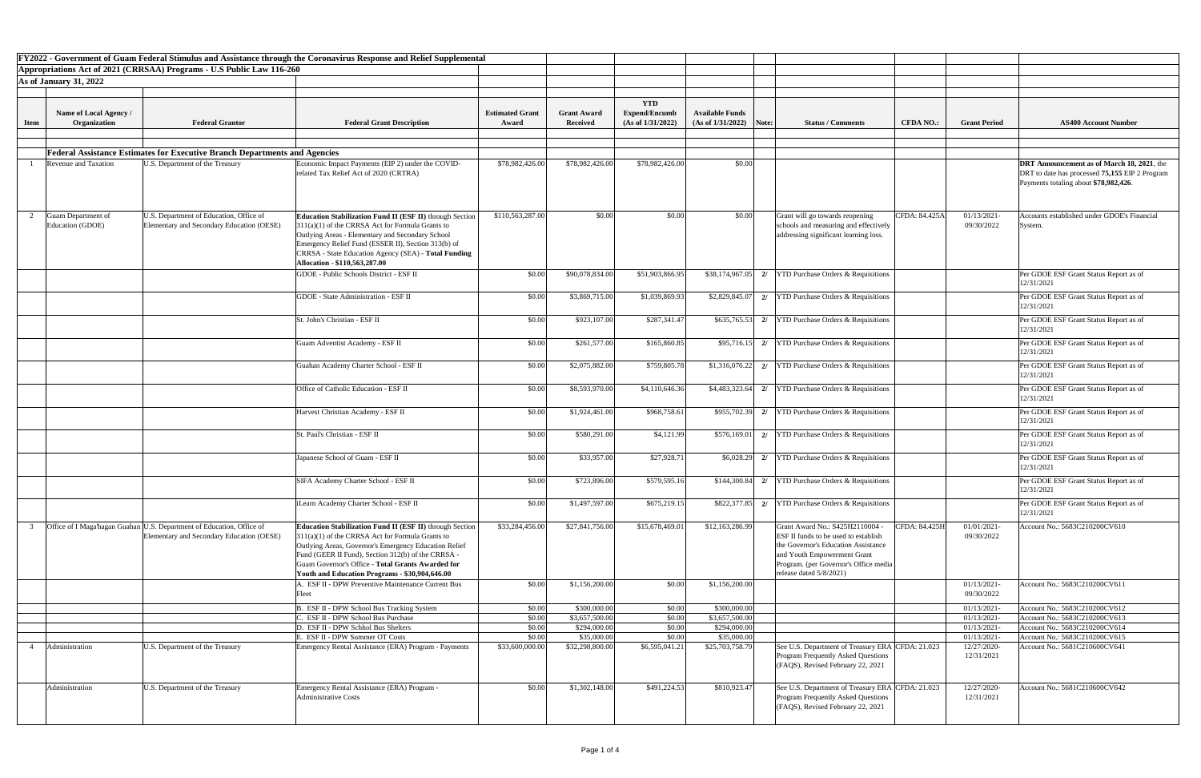|                                                       |                                                                                                                    | FY2022 - Government of Guam Federal Stimulus and Assistance through the Coronavirus Response and Relief Supplemental                                                                                                                                                                                                                        |                                 |                                |                                                         |                                                      |                                                                                                                                                                                                                             |                  |                            |                                                                                         |
|-------------------------------------------------------|--------------------------------------------------------------------------------------------------------------------|---------------------------------------------------------------------------------------------------------------------------------------------------------------------------------------------------------------------------------------------------------------------------------------------------------------------------------------------|---------------------------------|--------------------------------|---------------------------------------------------------|------------------------------------------------------|-----------------------------------------------------------------------------------------------------------------------------------------------------------------------------------------------------------------------------|------------------|----------------------------|-----------------------------------------------------------------------------------------|
|                                                       | Appropriations Act of 2021 (CRRSAA) Programs - U.S Public Law 116-260                                              |                                                                                                                                                                                                                                                                                                                                             |                                 |                                |                                                         |                                                      |                                                                                                                                                                                                                             |                  |                            |                                                                                         |
| <b>As of January 31, 2022</b>                         |                                                                                                                    |                                                                                                                                                                                                                                                                                                                                             |                                 |                                |                                                         |                                                      |                                                                                                                                                                                                                             |                  |                            |                                                                                         |
|                                                       |                                                                                                                    |                                                                                                                                                                                                                                                                                                                                             |                                 |                                |                                                         |                                                      |                                                                                                                                                                                                                             |                  |                            |                                                                                         |
| Name of Local Agency /<br>Organization<br><b>Item</b> | <b>Federal Grantor</b>                                                                                             | <b>Federal Grant Description</b>                                                                                                                                                                                                                                                                                                            | <b>Estimated Grant</b><br>Award | <b>Grant Award</b><br>Received | <b>YTD</b><br><b>Expend/Encumb</b><br>(As of 1/31/2022) | <b>Available Funds</b><br>(As of 1/31/2022)<br>Note: | <b>Status / Comments</b>                                                                                                                                                                                                    | <b>CFDA NO.:</b> | <b>Grant Period</b>        | <b>AS400 Account Number</b>                                                             |
|                                                       |                                                                                                                    |                                                                                                                                                                                                                                                                                                                                             |                                 |                                |                                                         |                                                      |                                                                                                                                                                                                                             |                  |                            |                                                                                         |
|                                                       | <b>Federal Assistance Estimates for Executive Branch Departments and Agencies</b>                                  |                                                                                                                                                                                                                                                                                                                                             |                                 |                                |                                                         |                                                      |                                                                                                                                                                                                                             |                  |                            |                                                                                         |
| Revenue and Taxation                                  | U.S. Department of the Treasury                                                                                    | Economic Impact Payments (EIP 2) under the COVID-                                                                                                                                                                                                                                                                                           | \$78,982,426.00                 | \$78,982,426.00                | \$78,982,426.00                                         | \$0.00                                               |                                                                                                                                                                                                                             |                  |                            | <b>DRT</b> Announcement as of March 18, 2021, the                                       |
|                                                       |                                                                                                                    | related Tax Relief Act of 2020 (CRTRA)                                                                                                                                                                                                                                                                                                      |                                 |                                |                                                         |                                                      |                                                                                                                                                                                                                             |                  |                            | DRT to date has processed 75,155 EIP 2 Program<br>Payments totaling about \$78,982,426. |
| Guam Department of<br>Education (GDOE)                | U.S. Department of Education, Office of<br>Elementary and Secondary Education (OESE)                               | <b>Education Stabilization Fund II (ESF II)</b> through Section<br>$311(a)(1)$ of the CRRSA Act for Formula Grants to<br>Outlying Areas - Elementary and Secondary School<br>Emergency Relief Fund (ESSER II), Section 313(b) of<br>CRRSA - State Education Agency (SEA) - Total Funding<br>Allocation - \$110,563,287.00                   | \$110,563,287.00                | \$0.00                         | \$0.00                                                  | \$0.00                                               | Grant will go towards reopening<br>schools and measuring and effectively<br>addressing significant learning loss.                                                                                                           | CFDA: 84.425A    | 01/13/2021-<br>09/30/2022  | Accounts established under GDOE's Financial<br>System.                                  |
|                                                       |                                                                                                                    | <b>GDOE</b> - Public Schools District - ESF II                                                                                                                                                                                                                                                                                              | \$0.00                          | \$90,078,834.00                | \$51,903,866.95                                         | $$38,174,967.05$ 2/                                  | <b>YTD Purchase Orders &amp; Requisitions</b>                                                                                                                                                                               |                  |                            | Per GDOE ESF Grant Status Report as of<br>12/31/2021                                    |
|                                                       |                                                                                                                    | <b>GDOE</b> - State Administration - ESF II                                                                                                                                                                                                                                                                                                 | \$0.00                          | \$3,869,715.00                 | \$1,039,869.93                                          | \$2,829,845.07<br>2l                                 | <b>YTD Purchase Orders &amp; Requisitions</b>                                                                                                                                                                               |                  |                            | Per GDOE ESF Grant Status Report as of<br>12/31/2021                                    |
|                                                       |                                                                                                                    | St. John's Christian - ESF II                                                                                                                                                                                                                                                                                                               | \$0.00                          | \$923,107.00                   | \$287,341.47                                            | \$635,765.53                                         | 2/ $\boxed{\text{YTD}$ Purchase Orders & Requisitions                                                                                                                                                                       |                  |                            | Per GDOE ESF Grant Status Report as of<br>12/31/2021                                    |
|                                                       |                                                                                                                    | <b>Guam Adventist Academy - ESF II</b>                                                                                                                                                                                                                                                                                                      | \$0.00                          | \$261,577.00                   | \$165,860.85                                            | \$95,716.15<br>2/                                    | <b>YTD Purchase Orders &amp; Requisitions</b>                                                                                                                                                                               |                  |                            | Per GDOE ESF Grant Status Report as of<br>12/31/2021                                    |
|                                                       |                                                                                                                    | Guahan Academy Charter School - ESF II                                                                                                                                                                                                                                                                                                      | \$0.00                          | \$2,075,882.00                 | \$759,805.78                                            | \$1,316,076.22                                       | <b>YTD Purchase Orders &amp; Requisitions</b>                                                                                                                                                                               |                  |                            | Per GDOE ESF Grant Status Report as of<br>12/31/2021                                    |
|                                                       |                                                                                                                    | Office of Catholic Education - ESF II                                                                                                                                                                                                                                                                                                       | \$0.00                          | \$8,593,970.00                 | \$4,110,646.36                                          | \$4,483,323.64<br>2/                                 | <b>YTD Purchase Orders &amp; Requisitions</b>                                                                                                                                                                               |                  |                            | Per GDOE ESF Grant Status Report as of<br>12/31/2021                                    |
|                                                       |                                                                                                                    | Harvest Christian Academy - ESF II                                                                                                                                                                                                                                                                                                          | \$0.00                          | \$1,924,461.00                 | \$968,758.61                                            | \$955,702.39<br>2l                                   | <b>YTD Purchase Orders &amp; Requisitions</b>                                                                                                                                                                               |                  |                            | Per GDOE ESF Grant Status Report as of<br>12/31/2021                                    |
|                                                       |                                                                                                                    | St. Paul's Christian - ESF II                                                                                                                                                                                                                                                                                                               | \$0.00                          | \$580,291.00                   | \$4,121.99                                              | \$576,169.01<br>2l                                   | <b>YTD Purchase Orders &amp; Requisitions</b>                                                                                                                                                                               |                  |                            | Per GDOE ESF Grant Status Report as of<br>12/31/2021                                    |
|                                                       |                                                                                                                    | Japanese School of Guam - ESF II                                                                                                                                                                                                                                                                                                            | \$0.00                          | \$33,957.00                    | \$27,928.71                                             | \$6,028.29<br>2/                                     | <b>YTD Purchase Orders &amp; Requisitions</b>                                                                                                                                                                               |                  |                            | Per GDOE ESF Grant Status Report as of<br>12/31/2021                                    |
|                                                       |                                                                                                                    | SIFA Academy Charter School - ESF II                                                                                                                                                                                                                                                                                                        | \$0.00                          | \$723,896.00                   | \$579,595.16                                            | \$144,300.84                                         | <b>YTD Purchase Orders &amp; Requisitions</b>                                                                                                                                                                               |                  |                            | Per GDOE ESF Grant Status Report as of<br>12/31/2021                                    |
|                                                       |                                                                                                                    | iLearn Academy Charter School - ESF II                                                                                                                                                                                                                                                                                                      | \$0.00                          | \$1,497,597.00                 | \$675,219.15                                            | \$822,377.85<br>2/                                   | <b>YTD Purchase Orders &amp; Requisitions</b>                                                                                                                                                                               |                  |                            | Per GDOE ESF Grant Status Report as of<br>12/31/2021                                    |
|                                                       | Office of I Maga'hagan Guahan U.S. Department of Education, Office of<br>Elementary and Secondary Education (OESE) | Education Stabilization Fund II (ESF II) through Section<br>$311(a)(1)$ of the CRRSA Act for Formula Grants to<br>Outlying Areas, Governor's Emergency Education Relief<br>Fund (GEER II Fund), Section 312(b) of the CRRSA -<br><b>Guam Governor's Office - Total Grants Awarded for</b><br>Youth and Education Programs - \$30,904,646.00 | \$33,284,456.00                 | \$27,841,756.00                | \$15,678,469.01                                         | \$12,163,286.99                                      | Grant Award No.: S425H2110004 -<br><b>ESF II funds to be used to establish</b><br>the Governor's Education Assistance<br>and Youth Empowerment Grant<br>Program. (per Governor's Office media<br>release dated $5/8/2021$ ) | CFDA: 84.425H    | 01/01/2021-<br>09/30/2022  | Account No.: 5683C210200CV610                                                           |
|                                                       |                                                                                                                    | <b>ESF II - DPW Preventive Maintenance Current Bus</b><br>Teet                                                                                                                                                                                                                                                                              | \$0.00                          | \$1,156,200.00                 | \$0.00                                                  | \$1,156,200.00                                       |                                                                                                                                                                                                                             |                  | 01/13/2021-<br>09/30/2022  | Account No.: 5683C210200CV611                                                           |
|                                                       |                                                                                                                    | B. ESF II - DPW School Bus Tracking System                                                                                                                                                                                                                                                                                                  | \$0.00                          | \$300,000.00                   | \$0.00                                                  | \$300,000.00                                         |                                                                                                                                                                                                                             |                  | $01/13/2021$ -             | Account No.: 5683C210200CV612                                                           |
|                                                       |                                                                                                                    | ESF II - DPW School Bus Purchase                                                                                                                                                                                                                                                                                                            | \$0.00                          | \$3,657,500.00                 | \$0.00                                                  | \$3,657,500.00                                       |                                                                                                                                                                                                                             |                  | 01/13/2021                 | Account No.: 5683C210200CV613                                                           |
|                                                       |                                                                                                                    | D. ESF II - DPW Schhol Bus Shelters<br>E. ESF II - DPW Summer OT Costs                                                                                                                                                                                                                                                                      | \$0.00<br>\$0.00                | \$294,000.00<br>\$35,000.00    | \$0.00<br>\$0.00                                        | \$294,000.00<br>\$35,000.00                          |                                                                                                                                                                                                                             |                  | 01/13/2021-<br>01/13/2021- | Account No.: 5683C210200CV614<br>Account No.: 5683C210200CV615                          |
| Administration                                        | U.S. Department of the Treasury                                                                                    | Emergency Rental Assistance (ERA) Program - Payments                                                                                                                                                                                                                                                                                        | \$33,600,000.00                 | \$32,298,800.00                | \$6,595,041.21                                          | \$25,703,758.79                                      | See U.S. Department of Treasury ERA CFDA: 21.023<br>Program Frequently Asked Questions<br>(FAQS), Revised February 22, 2021                                                                                                 |                  | 12/27/2020-<br>12/31/2021  | Account No.: 5681C210600CV641                                                           |
| Administration                                        | U.S. Department of the Treasury                                                                                    | <b>Emergency Rental Assistance (ERA) Program -</b><br>Administrative Costs                                                                                                                                                                                                                                                                  | \$0.00                          | \$1,302,148.00                 | \$491,224.53                                            | \$810,923.47                                         | See U.S. Department of Treasury ERA CFDA: 21.023<br>Program Frequently Asked Questions<br>(FAQS), Revised February 22, 2021                                                                                                 |                  | 12/27/2020-<br>12/31/2021  | Account No.: 5681C210600CV642                                                           |
|                                                       |                                                                                                                    |                                                                                                                                                                                                                                                                                                                                             |                                 |                                |                                                         |                                                      |                                                                                                                                                                                                                             |                  |                            |                                                                                         |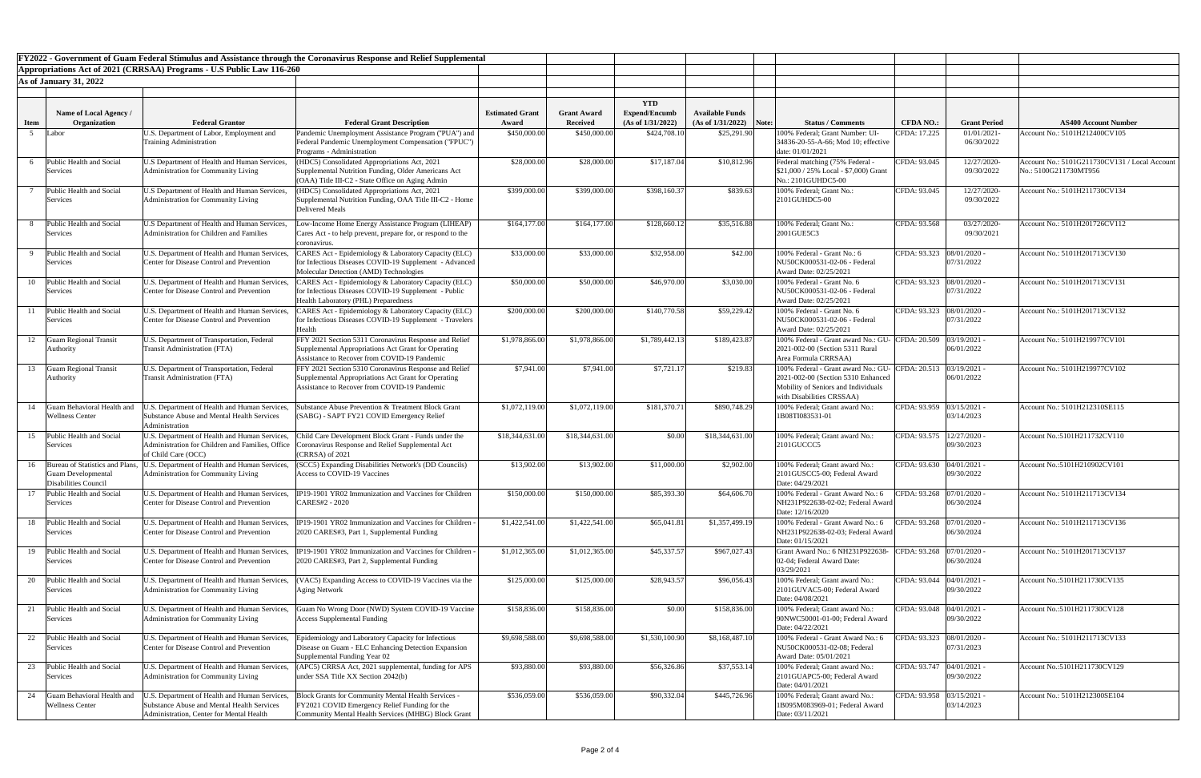| FY2022 - Government of Guam Federal Stimulus and Assistance through the Coronavirus Response and Relief Supplemental |                                                              |                                                                                            |                                                                                                                 |                                 |                                |                                           |                                             |       |                                                                          |                             |                     |                                               |
|----------------------------------------------------------------------------------------------------------------------|--------------------------------------------------------------|--------------------------------------------------------------------------------------------|-----------------------------------------------------------------------------------------------------------------|---------------------------------|--------------------------------|-------------------------------------------|---------------------------------------------|-------|--------------------------------------------------------------------------|-----------------------------|---------------------|-----------------------------------------------|
| Appropriations Act of 2021 (CRRSAA) Programs - U.S Public Law 116-260                                                |                                                              |                                                                                            |                                                                                                                 |                                 |                                |                                           |                                             |       |                                                                          |                             |                     |                                               |
|                                                                                                                      | <b>As of January 31, 2022</b>                                |                                                                                            |                                                                                                                 |                                 |                                |                                           |                                             |       |                                                                          |                             |                     |                                               |
|                                                                                                                      |                                                              |                                                                                            |                                                                                                                 |                                 |                                |                                           |                                             |       |                                                                          |                             |                     |                                               |
|                                                                                                                      |                                                              |                                                                                            |                                                                                                                 |                                 |                                | <b>YTD</b>                                |                                             |       |                                                                          |                             |                     |                                               |
|                                                                                                                      | Name of Local Agency /<br>Organization                       | <b>Federal Grantor</b>                                                                     |                                                                                                                 | <b>Estimated Grant</b><br>Award | <b>Grant Award</b><br>Received | <b>Expend/Encumb</b><br>(As of 1/31/2022) | <b>Available Funds</b><br>(As of 1/31/2022) | Note: | <b>Status / Comments</b>                                                 | <b>CFDA NO.:</b>            | <b>Grant Period</b> | <b>AS400 Account Number</b>                   |
| <b>Item</b>                                                                                                          | Labor                                                        | U.S. Department of Labor, Employment and                                                   | <b>Federal Grant Description</b><br>Pandemic Unemployment Assistance Program ("PUA") and                        | \$450,000.00                    | \$450,000.00                   | \$424,708.10                              | \$25,291.90                                 |       | 100% Federal; Grant Number: UI-                                          | CFDA: 17.225                | 01/01/2021          | Account No.: 5101H212400CV105                 |
|                                                                                                                      |                                                              | <b>Training Administration</b>                                                             | Federal Pandemic Unemployment Compensation ("FPUC")                                                             |                                 |                                |                                           |                                             |       | 34836-20-55-A-66; Mod 10; effective                                      |                             | 06/30/2022          |                                               |
|                                                                                                                      |                                                              |                                                                                            | <b>Programs</b> - Administration                                                                                |                                 |                                |                                           |                                             |       | date: 01/01/2021                                                         |                             |                     |                                               |
|                                                                                                                      | Public Health and Social                                     | U.S Department of Health and Human Services,                                               | HDC5) Consolidated Appropriations Act, 2021                                                                     | \$28,000.00                     | \$28,000.00                    | \$17,187.04                               | \$10,812.96                                 |       | Federal matching (75% Federal                                            | CFDA: 93.045                | 12/27/2020-         | Account No.: 5101G211730CV131 / Local Account |
|                                                                                                                      | Services                                                     | Administration for Community Living                                                        | Supplemental Nutrition Funding, Older Americans Act<br>(OAA) Title III-C2 - State Office on Aging Admin         |                                 |                                |                                           |                                             |       | $$21,000 / 25\%$ Local - \$7,000) Grant<br>No.: 2101GUHDC5-00            |                             | 09/30/2022          | No.: 5100G211730MT956                         |
|                                                                                                                      | Public Health and Social                                     | U.S Department of Health and Human Services,                                               | (HDC5) Consolidated Appropriations Act, 2021                                                                    | \$399,000.00                    | \$399,000.00                   | \$398,160.37                              | \$839.63                                    |       | 100% Federal; Grant No.:                                                 | CFDA: 93.045                | 12/27/2020-         | Account No.: 5101H211730CV134                 |
|                                                                                                                      | Services                                                     | Administration for Community Living                                                        | Supplemental Nutrition Funding, OAA Title III-C2 - Home                                                         |                                 |                                |                                           |                                             |       | $2101$ GUHDC5-00                                                         |                             | 09/30/2022          |                                               |
|                                                                                                                      |                                                              |                                                                                            | <b>Delivered Meals</b>                                                                                          |                                 |                                |                                           |                                             |       |                                                                          |                             |                     |                                               |
|                                                                                                                      | Public Health and Social                                     | U.S Department of Health and Human Services,                                               | ow-Income Home Energy Assistance Program (LIHEAP)                                                               | \$164,177.00                    | \$164,177.00                   | \$128,660.12                              | \$35,516.88                                 |       | 100% Federal; Grant No.:                                                 | CFDA: 93.568                | 03/27/2020-         | Account No.: 5101H201726CV112                 |
|                                                                                                                      | Services                                                     | Administration for Children and Families                                                   | Cares Act - to help prevent, prepare for, or respond to the                                                     |                                 |                                |                                           |                                             |       | 2001GUE5C3                                                               |                             | 09/30/2021          |                                               |
|                                                                                                                      |                                                              |                                                                                            | coronavirus.                                                                                                    |                                 |                                |                                           |                                             |       |                                                                          |                             |                     |                                               |
|                                                                                                                      | Public Health and Social<br>Services                         | U.S. Department of Health and Human Services,<br>Center for Disease Control and Prevention | CARES Act - Epidemiology & Laboratory Capacity (ELC)<br>for Infectious Diseases COVID-19 Supplement - Advanced  | \$33,000.00                     | \$33,000.00                    | \$32,958.00                               | \$42.00                                     |       | 100% Federal - Grant No.: 6<br>NU50CK000531-02-06 - Federal              | CFDA: 93.323 08/01/2020 -   | 07/31/2022          | Account No.: 5101H201713CV130                 |
|                                                                                                                      |                                                              |                                                                                            | Molecular Detection (AMD) Technologies                                                                          |                                 |                                |                                           |                                             |       | Award Date: 02/25/2021                                                   |                             |                     |                                               |
| 10                                                                                                                   | Public Health and Social                                     | U.S. Department of Health and Human Services,                                              | CARES Act - Epidemiology & Laboratory Capacity (ELC)                                                            | \$50,000.00                     | \$50,000.00                    | \$46,970.00                               | \$3,030.00                                  |       | 100% Federal - Grant No. 6                                               | CFDA: 93.323  08/01/2020 -  |                     | Account No.: 5101H201713CV131                 |
|                                                                                                                      | Services                                                     | <b>Center for Disease Control and Prevention</b>                                           | for Infectious Diseases COVID-19 Supplement - Public                                                            |                                 |                                |                                           |                                             |       | NU50CK000531-02-06 - Federal                                             |                             | 07/31/2022          |                                               |
|                                                                                                                      |                                                              |                                                                                            | Health Laboratory (PHL) Preparedness                                                                            |                                 |                                |                                           |                                             |       | Award Date: 02/25/2021                                                   |                             |                     |                                               |
|                                                                                                                      | Public Health and Social<br>Services                         | U.S. Department of Health and Human Services,<br>Center for Disease Control and Prevention | CARES Act - Epidemiology & Laboratory Capacity (ELC)<br>for Infectious Diseases COVID-19 Supplement - Travelers | \$200,000.00                    | \$200,000.00                   | \$140,770.58                              | \$59,229.42                                 |       | 100% Federal - Grant No. 6<br>NU50CK000531-02-06 - Federal               | CFDA: 93.323  08/01/2020 -  | 07/31/2022          | Account No.: 5101H201713CV132                 |
|                                                                                                                      |                                                              |                                                                                            | Health                                                                                                          |                                 |                                |                                           |                                             |       | Award Date: 02/25/2021                                                   |                             |                     |                                               |
| 12                                                                                                                   | <b>Guam Regional Transit</b>                                 | U.S. Department of Transportation, Federal                                                 | FFY 2021 Section 5311 Coronavirus Response and Relief                                                           | \$1,978,866.00                  | \$1,978,866.00                 | \$1,789,442.13                            | \$189,423.87                                |       | 100% Federal - Grant award No.: GU- CFDA: 20.509 03/19/2021 -            |                             |                     | Account No.: 5101H219977CV101                 |
|                                                                                                                      | Authority                                                    | Transit Administration (FTA)                                                               | Supplemental Appropriations Act Grant for Operating                                                             |                                 |                                |                                           |                                             |       | 2021-002-00 (Section 5311 Rural                                          |                             | 06/01/2022          |                                               |
|                                                                                                                      | <b>Guam Regional Transit</b>                                 |                                                                                            | Assistance to Recover from COVID-19 Pandemic<br>FFY 2021 Section 5310 Coronavirus Response and Relief           | \$7,941.00                      | \$7,941.00                     | \$7,721.17                                | \$219.83                                    |       | Area Formula CRRSAA)<br>100% Federal - Grant award No.: GU- CFDA: 20.513 |                             | $03/19/2021 -$      | Account No.: 5101H219977CV102                 |
| 13                                                                                                                   | Authority                                                    | U.S. Department of Transportation, Federal<br>Transit Administration (FTA)                 | Supplemental Appropriations Act Grant for Operating                                                             |                                 |                                |                                           |                                             |       | 2021-002-00 (Section 5310 Enhanced                                       |                             | 06/01/2022          |                                               |
|                                                                                                                      |                                                              |                                                                                            | Assistance to Recover from COVID-19 Pandemic                                                                    |                                 |                                |                                           |                                             |       | Mobility of Seniors and Individuals                                      |                             |                     |                                               |
|                                                                                                                      |                                                              |                                                                                            |                                                                                                                 |                                 |                                |                                           |                                             |       | with Disabilities CRSSAA)                                                |                             |                     |                                               |
| 14                                                                                                                   | Guam Behavioral Health and                                   | .S. Department of Health and Human Services,<br>Substance Abuse and Mental Health Services | <b>Substance Abuse Prevention &amp; Treatment Block Grant</b>                                                   | \$1,072,119.00                  | \$1,072,119.00                 | \$181,370.71                              | \$890,748.29                                |       | 100% Federal; Grant award No.:                                           | CFDA: 93.959 03/15/2021 -   | 03/14/2023          | Account No.: 5101H212310SE115                 |
|                                                                                                                      | <b>Wellness Center</b>                                       | Administration                                                                             | (SABG) - SAPT FY21 COVID Emergency Relief                                                                       |                                 |                                |                                           |                                             |       | 1B08TI083531-01                                                          |                             |                     |                                               |
| 15                                                                                                                   | Public Health and Social                                     | U.S. Department of Health and Human Services,                                              | Child Care Development Block Grant - Funds under the                                                            | \$18,344,631.00                 | \$18,344,631.00                | \$0.00                                    | \$18,344,631.00                             |       | 100% Federal; Grant award No.:                                           | CFDA: 93.575                | $12/27/2020$ -      | Account No.:5101H211732CV110                  |
|                                                                                                                      | Services                                                     | Administration for Children and Families, Office                                           | Coronavirus Response and Relief Supplemental Act                                                                |                                 |                                |                                           |                                             |       | 2101GUCCC5                                                               |                             | 09/30/2023          |                                               |
|                                                                                                                      |                                                              | of Child Care (OCC)                                                                        | (CRRSA) of 2021                                                                                                 |                                 |                                |                                           |                                             |       |                                                                          |                             |                     |                                               |
|                                                                                                                      | Bureau of Statistics and Plans,<br><b>Guam Developmental</b> | J.S. Department of Health and Human Services,<br>Administration for Community Living       | (SCC5) Expanding Disabilities Network's (DD Councils)<br>Access to COVID-19 Vaccines                            | \$13,902.00                     | \$13,902.00                    | \$11,000.00                               | \$2,902.00                                  |       | 100% Federal; Grant award No.:<br>2101GUSCC5-00; Federal Award           | CFDA: 93.630 04/01/2021 -   | 09/30/2022          | Account No.:5101H210902CV101                  |
|                                                                                                                      | Disabilities Council                                         |                                                                                            |                                                                                                                 |                                 |                                |                                           |                                             |       | Date: 04/29/2021                                                         |                             |                     |                                               |
|                                                                                                                      | Public Health and Social                                     | U.S. Department of Health and Human Services,                                              | IP19-1901 YR02 Immunization and Vaccines for Children                                                           | \$150,000.00                    | \$150,000.00                   | \$85,393.30                               | \$64,606.70                                 |       | 100% Federal - Grant Award No.: 6                                        | CFDA: 93.268 07/01/2020 -   |                     | Account No.: 5101H211713CV134                 |
|                                                                                                                      | Services                                                     | Center for Disease Control and Prevention                                                  | CARES#2 - 2020                                                                                                  |                                 |                                |                                           |                                             |       | NH231P922638-02-02; Federal Award                                        |                             | 06/30/2024          |                                               |
|                                                                                                                      | 18 Public Health and Social                                  | U.S. Department of Health and Human Services,                                              | IP19-1901 YR02 Immunization and Vaccines for Children                                                           | \$1,422,541.00                  | \$1,422,541.00                 | \$65,041.81                               | \$1,357,499.19                              |       | Date: 12/16/2020<br>100% Federal - Grant Award No.: 6                    | CFDA: 93.268 07/01/2020 -   |                     | Account No.: 5101H211713CV136                 |
|                                                                                                                      | Services                                                     | Center for Disease Control and Prevention                                                  | 2020 CARES#3, Part 1, Supplemental Funding                                                                      |                                 |                                |                                           |                                             |       | NH231P922638-02-03; Federal Award                                        |                             | 06/30/2024          |                                               |
|                                                                                                                      |                                                              |                                                                                            |                                                                                                                 |                                 |                                |                                           |                                             |       | Date: 01/15/2021                                                         |                             |                     |                                               |
| 19                                                                                                                   | Public Health and Social                                     | U.S. Department of Health and Human Services,                                              | IP19-1901 YR02 Immunization and Vaccines for Children                                                           | \$1,012,365.00                  | \$1,012,365.00                 | \$45,337.57                               | \$967,027.43                                |       | Grant Award No.: 6 NH231P922638-                                         | CFDA: 93.268 07/01/2020 -   |                     | Account No.: 5101H201713CV137                 |
|                                                                                                                      | Services                                                     | Center for Disease Control and Prevention                                                  | 2020 CARES#3, Part 2, Supplemental Funding                                                                      |                                 |                                |                                           |                                             |       | 02-04; Federal Award Date:<br>03/29/2021                                 |                             | 06/30/2024          |                                               |
|                                                                                                                      | Public Health and Social                                     | U.S. Department of Health and Human Services,                                              | /AC5) Expanding Access to COVID-19 Vaccines via the                                                             | \$125,000.00                    | \$125,000.00                   | \$28,943.57                               | \$96,056.43                                 |       | 100% Federal; Grant award No.:                                           | CFDA: 93.044   04/01/2021 - |                     | Account No.:5101H211730CV135                  |
|                                                                                                                      | Services                                                     | Administration for Community Living                                                        | Aging Network                                                                                                   |                                 |                                |                                           |                                             |       | 2101GUVAC5-00; Federal Award                                             |                             | 09/30/2022          |                                               |
|                                                                                                                      |                                                              |                                                                                            |                                                                                                                 |                                 |                                |                                           |                                             |       | Date: 04/08/2021                                                         |                             |                     |                                               |
|                                                                                                                      | Public Health and Social                                     | U.S. Department of Health and Human Services,                                              | Guam No Wrong Door (NWD) System COVID-19 Vaccine                                                                | \$158,836.00                    | \$158,836.00                   | \$0.00                                    | \$158,836.00                                |       | 100% Federal; Grant award No.:                                           | CFDA: 93.048   04/01/2021 - |                     | Account No.:5101H211730CV128                  |
|                                                                                                                      | Services                                                     | Administration for Community Living                                                        | <b>Access Supplemental Funding</b>                                                                              |                                 |                                |                                           |                                             |       | 90NWC50001-01-00; Federal Award<br>Date: 04/22/2021                      |                             | 09/30/2022          |                                               |
| 22                                                                                                                   | Public Health and Social                                     | U.S. Department of Health and Human Services,                                              | Epidemiology and Laboratory Capacity for Infectious                                                             | \$9,698,588.00                  | \$9,698,588.00                 | \$1,530,100.90                            | \$8,168,487.10                              |       | 100% Federal - Grant Award No.: 6                                        | CFDA: 93.323 08/01/2020 -   |                     | Account No.: 5101H211713CV133                 |
|                                                                                                                      | Services                                                     | Center for Disease Control and Prevention                                                  | Disease on Guam - ELC Enhancing Detection Expansion                                                             |                                 |                                |                                           |                                             |       | NU50CK000531-02-08; Federal                                              |                             | 07/31/2023          |                                               |
|                                                                                                                      |                                                              |                                                                                            | Supplemental Funding Year 02                                                                                    |                                 |                                |                                           |                                             |       | Award Date: 05/01/2021                                                   |                             |                     |                                               |
| 23                                                                                                                   | Public Health and Social<br>Services                         | U.S. Department of Health and Human Services,<br>Administration for Community Living       | APC5) CRRSA Act, 2021 supplemental, funding for APS<br>under SSA Title XX Section 2042(b)                       | \$93,880.00                     | \$93,880.00                    | \$56,326.86                               | \$37,553.14                                 |       | 100% Federal; Grant award No.:<br>2101GUAPC5-00; Federal Award           | CFDA: 93.747   04/01/2021 - | 09/30/2022          | Account No.:5101H211730CV129                  |
|                                                                                                                      |                                                              |                                                                                            |                                                                                                                 |                                 |                                |                                           |                                             |       | Date: 04/01/2021                                                         |                             |                     |                                               |
| 24                                                                                                                   | Guam Behavioral Health and                                   | J.S. Department of Health and Human Services                                               | <b>Block Grants for Community Mental Health Services -</b>                                                      | \$536,059.00                    | \$536,059.00                   | \$90,332.04                               | \$445,726.96                                |       | 100% Federal; Grant award No.:                                           | CFDA: 93.958 03/15/2021 -   |                     | Account No.: 5101H212300SE104                 |
|                                                                                                                      | <b>Wellness Center</b>                                       | Substance Abuse and Mental Health Services                                                 | FY2021 COVID Emergency Relief Funding for the                                                                   |                                 |                                |                                           |                                             |       | 1B095M083969-01; Federal Award                                           |                             | 03/14/2023          |                                               |
|                                                                                                                      |                                                              | Administration, Center for Mental Health                                                   | Community Mental Health Services (MHBG) Block Grant                                                             |                                 |                                |                                           |                                             |       | Date: 03/11/2021                                                         |                             |                     |                                               |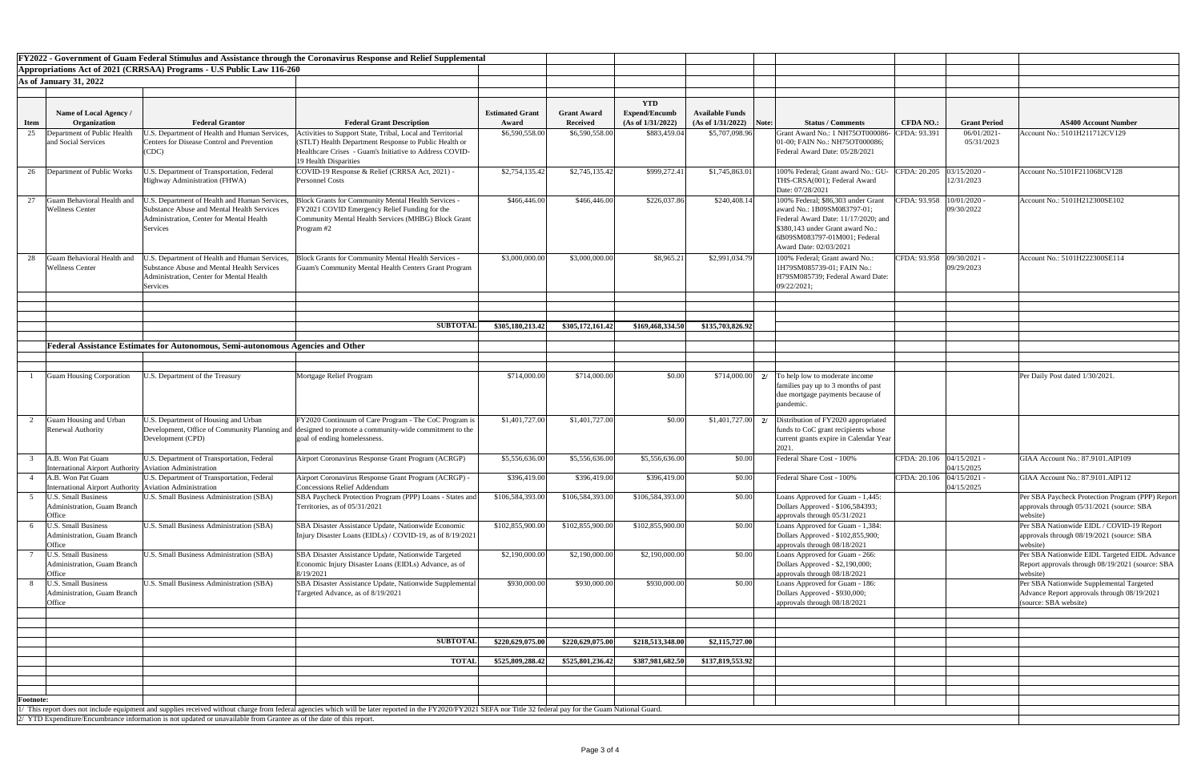|                  |                                                                                |                                                                                                                                                            | FY2022 - Government of Guam Federal Stimulus and Assistance through the Coronavirus Response and Relief Supplemental                                                                                           |                                 |                                       |                                                         |                                             |       |                                                                                                                                                                                                        |                             |                          |                                                                                                                  |
|------------------|--------------------------------------------------------------------------------|------------------------------------------------------------------------------------------------------------------------------------------------------------|----------------------------------------------------------------------------------------------------------------------------------------------------------------------------------------------------------------|---------------------------------|---------------------------------------|---------------------------------------------------------|---------------------------------------------|-------|--------------------------------------------------------------------------------------------------------------------------------------------------------------------------------------------------------|-----------------------------|--------------------------|------------------------------------------------------------------------------------------------------------------|
|                  |                                                                                | Appropriations Act of 2021 (CRRSAA) Programs - U.S Public Law 116-260                                                                                      |                                                                                                                                                                                                                |                                 |                                       |                                                         |                                             |       |                                                                                                                                                                                                        |                             |                          |                                                                                                                  |
|                  | $\vert$ As of January 31, 2022                                                 |                                                                                                                                                            |                                                                                                                                                                                                                |                                 |                                       |                                                         |                                             |       |                                                                                                                                                                                                        |                             |                          |                                                                                                                  |
|                  |                                                                                |                                                                                                                                                            |                                                                                                                                                                                                                |                                 |                                       |                                                         |                                             |       |                                                                                                                                                                                                        |                             |                          |                                                                                                                  |
| <b>Item</b>      | Name of Local Agency /<br>Organization                                         | <b>Federal Grantor</b>                                                                                                                                     | <b>Federal Grant Description</b>                                                                                                                                                                               | <b>Estimated Grant</b><br>Award | <b>Grant Award</b><br><b>Received</b> | <b>YTD</b><br><b>Expend/Encumb</b><br>(As of 1/31/2022) | <b>Available Funds</b><br>(As of 1/31/2022) | Note: | <b>Status / Comments</b>                                                                                                                                                                               | <b>CFDA NO.:</b>            | <b>Grant Period</b>      | <b>AS400 Account Number</b>                                                                                      |
| 25               | Department of Public Health                                                    | J.S. Department of Health and Human Services,                                                                                                              | Activities to Support State, Tribal, Local and Territorial                                                                                                                                                     | \$6,590,558.00                  | \$6,590,558.00                        | \$883,459.04                                            | \$5,707,098.96                              |       | Grant Award No.: 1 NH75OT000086-                                                                                                                                                                       | CFDA: 93.391                | 06/01/2021-              | Account No.: 5101H211712CV129                                                                                    |
|                  | and Social Services                                                            | <b>Centers for Disease Control and Prevention</b><br>(CDC)                                                                                                 | (STLT) Health Department Response to Public Health or<br>Healthcare Crises - Guam's Initiative to Address COVID-<br>19 Health Disparities                                                                      |                                 |                                       |                                                         |                                             |       | [01-00; FAIN No.: NH75OT000086;<br>Federal Award Date: 05/28/2021                                                                                                                                      |                             | 05/31/2023               |                                                                                                                  |
| 26               | Department of Public Works                                                     | J.S. Department of Transportation, Federal<br>Highway Administration (FHWA)                                                                                | COVID-19 Response & Relief (CRRSA Act, 2021) -<br><b>Personnel Costs</b>                                                                                                                                       | \$2,754,135.42                  | \$2,745,135.42                        | \$999,272.41                                            | \$1,745,863.01                              |       | 100% Federal; Grant award No.: GU-<br>THS-CRSA(001); Federal Award<br>Date: 07/28/2021                                                                                                                 | CFDA: 20.205                | 03/15/2020<br>12/31/2023 | Account No.:5101F211068CV128                                                                                     |
| 27               | Guam Behavioral Health and<br><b>Wellness Center</b>                           | J.S. Department of Health and Human Services,<br><b>Substance Abuse and Mental Health Services</b><br>Administration, Center for Mental Health<br>Services | Block Grants for Community Mental Health Services -<br>FY2021 COVID Emergency Relief Funding for the<br>Community Mental Health Services (MHBG) Block Grant<br>Program #2                                      | \$466,446.00                    | \$466,446.00                          | \$226,037.86                                            | \$240,408.14                                |       | 100% Federal; \$86,303 under Grant<br>award No.: 1B09SM083797-01;<br>Federal Award Date: 11/17/2020; and<br>\$380,143 under Grant award No.:<br>6B09SM083797-01M001; Federal<br>Award Date: 02/03/2021 | CFDA: 93.958   10/01/2020 - | 09/30/2022               | Account No.: 5101H212300SE102                                                                                    |
| 28               | Guam Behavioral Health and<br><b>Wellness Center</b>                           | U.S. Department of Health and Human Services,<br>Substance Abuse and Mental Health Services<br>Administration, Center for Mental Health<br>Services        | Block Grants for Community Mental Health Services -<br>Guam's Community Mental Health Centers Grant Program                                                                                                    | \$3,000,000.00                  | \$3,000,000.00                        | \$8,965.21                                              | \$2,991,034.79                              |       | 100% Federal; Grant award No.:<br>1H79SM085739-01; FAIN No.:<br>H79SM085739; Federal Award Date:<br>09/22/2021;                                                                                        | CFDA: 93.958 09/30/2021 -   | 09/29/2023               | Account No.: 5101H222300SE114                                                                                    |
|                  |                                                                                |                                                                                                                                                            |                                                                                                                                                                                                                |                                 |                                       |                                                         |                                             |       |                                                                                                                                                                                                        |                             |                          |                                                                                                                  |
|                  |                                                                                |                                                                                                                                                            | <b>SUBTOTAL</b>                                                                                                                                                                                                | \$305,180,213.42                | \$305,172,161.42                      | \$169,468,334.50                                        | \$135,703,826.92                            |       |                                                                                                                                                                                                        |                             |                          |                                                                                                                  |
|                  |                                                                                |                                                                                                                                                            |                                                                                                                                                                                                                |                                 |                                       |                                                         |                                             |       |                                                                                                                                                                                                        |                             |                          |                                                                                                                  |
|                  |                                                                                | Federal Assistance Estimates for Autonomous, Semi-autonomous Agencies and Other                                                                            |                                                                                                                                                                                                                |                                 |                                       |                                                         |                                             |       |                                                                                                                                                                                                        |                             |                          |                                                                                                                  |
|                  |                                                                                |                                                                                                                                                            |                                                                                                                                                                                                                |                                 |                                       |                                                         |                                             |       |                                                                                                                                                                                                        |                             |                          |                                                                                                                  |
|                  | Guam Housing Corporation                                                       | J.S. Department of the Treasury                                                                                                                            | Mortgage Relief Program                                                                                                                                                                                        | \$714,000.00                    | \$714,000.00                          | \$0.00                                                  | \$714,000.00                                |       | To help low to moderate income<br>families pay up to 3 months of past<br>due mortgage payments because of<br>pandemic                                                                                  |                             |                          | Per Daily Post dated 1/30/2021.                                                                                  |
|                  | Guam Housing and Urban<br><b>Renewal Authority</b>                             | U.S. Department of Housing and Urban<br>Development (CPD)                                                                                                  | FY2020 Continuum of Care Program - The CoC Program is<br>Development, Office of Community Planning and designed to promote a community-wide commitment to the<br>goal of ending homelessness.                  | \$1,401,727.00                  | \$1,401,727.00                        | \$0.00                                                  |                                             |       | $\vert 1,401,727.00 \vert$ 2/ Distribution of FY2020 appropriated<br>funds to CoC grant recipients whose<br>current grants expire in Calendar Year<br>2021.                                            |                             |                          |                                                                                                                  |
|                  | A.B. Won Pat Guam<br>International Airport Authority   Aviation Administration | U.S. Department of Transportation, Federal                                                                                                                 | Airport Coronavirus Response Grant Program (ACRGP)                                                                                                                                                             | \$5,556,636.00                  | \$5,556,636.00                        | \$5,556,636.00                                          | \$0.00                                      |       | Federal Share Cost - 100%                                                                                                                                                                              | CFDA: 20.106   04/15/2021 - | 04/15/2025               | GIAA Account No.: 87.9101.AIP109                                                                                 |
|                  | A.B. Won Pat Guam<br>International Airport Authority   Aviation Administration | U.S. Department of Transportation, Federal                                                                                                                 | Airport Coronavirus Response Grant Program (ACRGP) -<br><b>Concessions Relief Addendum</b>                                                                                                                     | \$396,419.00                    | \$396,419.00                          | \$396,419.00                                            | \$0.00                                      |       | Federal Share Cost - 100%                                                                                                                                                                              | CFDA: 20.106   04/15/2021 - | 04/15/2025               | GIAA Account No.: 87.9101.AIP112                                                                                 |
|                  | <b>U.S. Small Business</b><br>Administration, Guam Branch<br>Office            | U.S. Small Business Administration (SBA)                                                                                                                   | SBA Paycheck Protection Program (PPP) Loans - States and<br>Territories, as of 05/31/2021                                                                                                                      | \$106,584,393.00                | \$106,584,393.00                      | \$106,584,393.00                                        | \$0.00                                      |       | Loans Approved for Guam - 1,445:<br>Dollars Approved - \$106,584393;<br>approvals through 05/31/2021                                                                                                   |                             |                          | Per SBA Paycheck Protection Program (PPP) Report<br>approvals through 05/31/2021 (source: SBA<br>website)        |
|                  | <b>U.S. Small Business</b><br><b>Administration, Guam Branch</b><br>Office     | U.S. Small Business Administration (SBA)                                                                                                                   | SBA Disaster Assistance Update, Nationwide Economic<br>Injury Disaster Loans (EIDLs) / COVID-19, as of 8/19/2021                                                                                               | \$102,855,900.00                | \$102,855,900.00                      | \$102,855,900.00                                        | \$0.00                                      |       | Loans Approved for Guam - 1,384:<br>Dollars Approved - \$102,855,900;<br>approvals through 08/18/2021                                                                                                  |                             |                          | Per SBA Nationwide EIDL / COVID-19 Report<br>approvals through 08/19/2021 (source: SBA<br>website)               |
|                  | <b>U.S. Small Business</b><br>Administration, Guam Branch<br>Office            | U.S. Small Business Administration (SBA)                                                                                                                   | SBA Disaster Assistance Update, Nationwide Targeted<br>Economic Injury Disaster Loans (EIDLs) Advance, as of<br>8/19/2021                                                                                      | \$2,190,000.00                  | \$2,190,000.00                        | \$2,190,000.00                                          | \$0.00                                      |       | Loans Approved for Guam - 266:<br>Dollars Approved - \$2,190,000;<br>approvals through 08/18/2021                                                                                                      |                             |                          | Per SBA Nationwide EIDL Targeted EIDL Advance<br>Report approvals through 08/19/2021 (source: SBA<br>website)    |
|                  | <b>U.S. Small Business</b><br><b>Administration, Guam Branch</b><br>Office     | U.S. Small Business Administration (SBA)                                                                                                                   | SBA Disaster Assistance Update, Nationwide Supplemental<br>Targeted Advance, as of 8/19/2021                                                                                                                   | \$930,000.00                    | \$930,000.00                          | \$930,000.00                                            | \$0.00                                      |       | Loans Approved for Guam - 186:<br>Dollars Approved - \$930,000;<br>approvals through 08/18/2021                                                                                                        |                             |                          | Per SBA Nationwide Supplemental Targeted<br>Advance Report approvals through 08/19/2021<br>(source: SBA website) |
|                  |                                                                                |                                                                                                                                                            |                                                                                                                                                                                                                |                                 |                                       |                                                         |                                             |       |                                                                                                                                                                                                        |                             |                          |                                                                                                                  |
|                  |                                                                                |                                                                                                                                                            |                                                                                                                                                                                                                |                                 |                                       |                                                         |                                             |       |                                                                                                                                                                                                        |                             |                          |                                                                                                                  |
|                  |                                                                                |                                                                                                                                                            | <b>SUBTOTAL</b>                                                                                                                                                                                                | \$220,629,075.00                | \$220,629,075.00                      | \$218,513,348.00                                        | \$2,115,727.00                              |       |                                                                                                                                                                                                        |                             |                          |                                                                                                                  |
|                  |                                                                                |                                                                                                                                                            | <b>TOTAL</b>                                                                                                                                                                                                   | \$525,809,288.42                | \$525,801,236.42                      | \$387,981,682.50                                        | \$137,819,553.92                            |       |                                                                                                                                                                                                        |                             |                          |                                                                                                                  |
|                  |                                                                                |                                                                                                                                                            |                                                                                                                                                                                                                |                                 |                                       |                                                         |                                             |       |                                                                                                                                                                                                        |                             |                          |                                                                                                                  |
|                  |                                                                                |                                                                                                                                                            |                                                                                                                                                                                                                |                                 |                                       |                                                         |                                             |       |                                                                                                                                                                                                        |                             |                          |                                                                                                                  |
| <b>Footnote:</b> |                                                                                |                                                                                                                                                            |                                                                                                                                                                                                                |                                 |                                       |                                                         |                                             |       |                                                                                                                                                                                                        |                             |                          |                                                                                                                  |
|                  |                                                                                |                                                                                                                                                            | This report does not include equipment and supplies received without charge from federal agencies which will be later reported in the FY2020/FY2021 SEFA nor Title 32 federal pay for the Guam National Guard. |                                 |                                       |                                                         |                                             |       |                                                                                                                                                                                                        |                             |                          |                                                                                                                  |
|                  |                                                                                | 2/ YTD Expenditure/Encumbrance information is not updated or unavailable from Grantee as of the date of this report.                                       |                                                                                                                                                                                                                |                                 |                                       |                                                         |                                             |       |                                                                                                                                                                                                        |                             |                          |                                                                                                                  |

| Number                                      |
|---------------------------------------------|
| $\overline{7129}$                           |
|                                             |
|                                             |
|                                             |
| $\overline{128}$                            |
|                                             |
|                                             |
| 102                                         |
|                                             |
|                                             |
|                                             |
|                                             |
| $\frac{114}{ }$                             |
|                                             |
|                                             |
|                                             |
|                                             |
|                                             |
|                                             |
|                                             |
|                                             |
|                                             |
|                                             |
|                                             |
|                                             |
|                                             |
|                                             |
|                                             |
|                                             |
|                                             |
|                                             |
|                                             |
| $\overline{IP109}$                          |
|                                             |
| $\overline{IP112}$                          |
|                                             |
| Program (PPP) Report                        |
| (source: SBA                                |
|                                             |
| OVID-19 Report                              |
| (source: SBA                                |
|                                             |
| geted EIDL Advance<br>$9/2021$ (source: SBA |
|                                             |
| ental Targeted                              |
| ugh 08/19/2021                              |
|                                             |
|                                             |
|                                             |
|                                             |
|                                             |
|                                             |
|                                             |
|                                             |
|                                             |
|                                             |
|                                             |
|                                             |
|                                             |
|                                             |